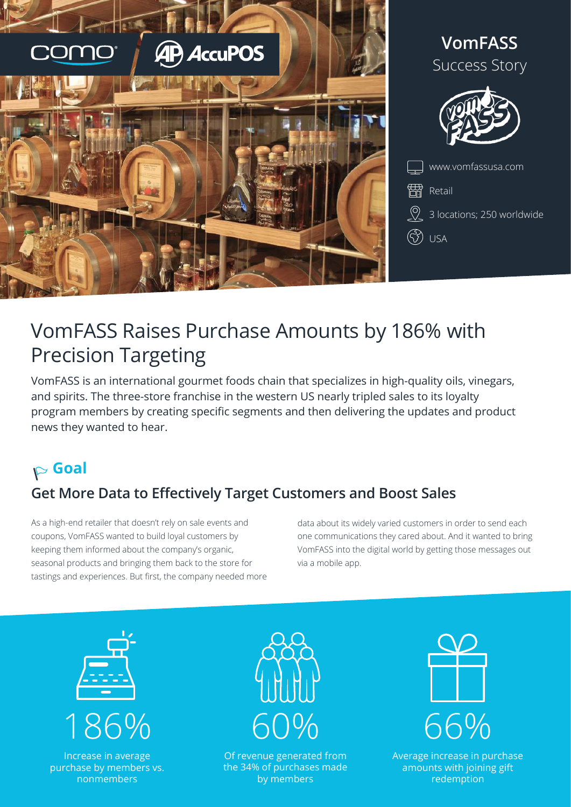



# VomFASS Raises Purchase Amounts by 186% with Precision Targeting

VomFASS is an international gourmet foods chain that specializes in high-quality oils, vinegars, and spirits. The three-store franchise in the western US nearly tripled sales to its loyalty program members by creating specific segments and then delivering the updates and product news they wanted to hear.

## **Goal**

## **Get More Data to Effectively Target Customers and Boost Sales**

As a high-end retailer that doesn't rely on sale events and coupons, VomFASS wanted to build loyal customers by keeping them informed about the company's organic, seasonal products and bringing them back to the store for tastings and experiences. But first, the company needed more data about its widely varied customers in order to send each one communications they cared about. And it wanted to bring VomFASS into the digital world by getting those messages out via a mobile app.



Increase in average purchase by members vs. nonmembers



Of revenue generated from the 34% of purchases made by members



Average increase in purchase amounts with joining gift redemption